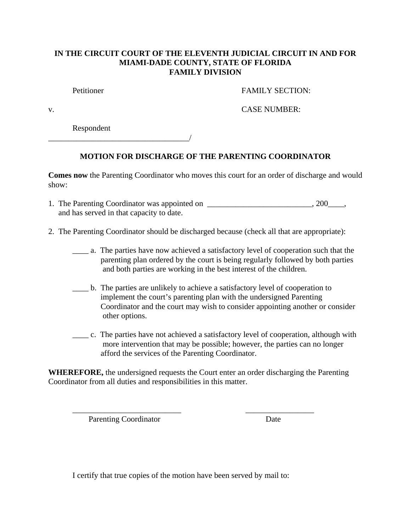## **IN THE CIRCUIT COURT OF THE ELEVENTH JUDICIAL CIRCUIT IN AND FOR MIAMI-DADE COUNTY, STATE OF FLORIDA FAMILY DIVISION**

Petitioner FAMILY SECTION:

v. CASE NUMBER:

Respondent

\_\_\_\_\_\_\_\_\_\_\_\_\_\_\_\_\_\_\_\_\_\_\_\_\_\_\_\_\_\_\_\_\_\_\_/

## **MOTION FOR DISCHARGE OF THE PARENTING COORDINATOR**

**Comes now** the Parenting Coordinator who moves this court for an order of discharge and would show:

| 1. The Parenting Coordinator was appointed on | $, 200$ . |
|-----------------------------------------------|-----------|
| and has served in that capacity to date.      |           |

- 2. The Parenting Coordinator should be discharged because (check all that are appropriate):
	- \_\_\_\_ a. The parties have now achieved a satisfactory level of cooperation such that the parenting plan ordered by the court is being regularly followed by both parties and both parties are working in the best interest of the children.
	- \_\_\_\_ b. The parties are unlikely to achieve a satisfactory level of cooperation to implement the court's parenting plan with the undersigned Parenting Coordinator and the court may wish to consider appointing another or consider other options.
	- \_\_\_\_ c. The parties have not achieved a satisfactory level of cooperation, although with more intervention that may be possible; however, the parties can no longer afford the services of the Parenting Coordinator.

**WHEREFORE,** the undersigned requests the Court enter an order discharging the Parenting Coordinator from all duties and responsibilities in this matter.

\_\_\_\_\_\_\_\_\_\_\_\_\_\_\_\_\_\_\_\_\_\_\_\_\_\_\_ \_\_\_\_\_\_\_\_\_\_\_\_\_\_\_\_\_

Parenting Coordinator Date

I certify that true copies of the motion have been served by mail to: